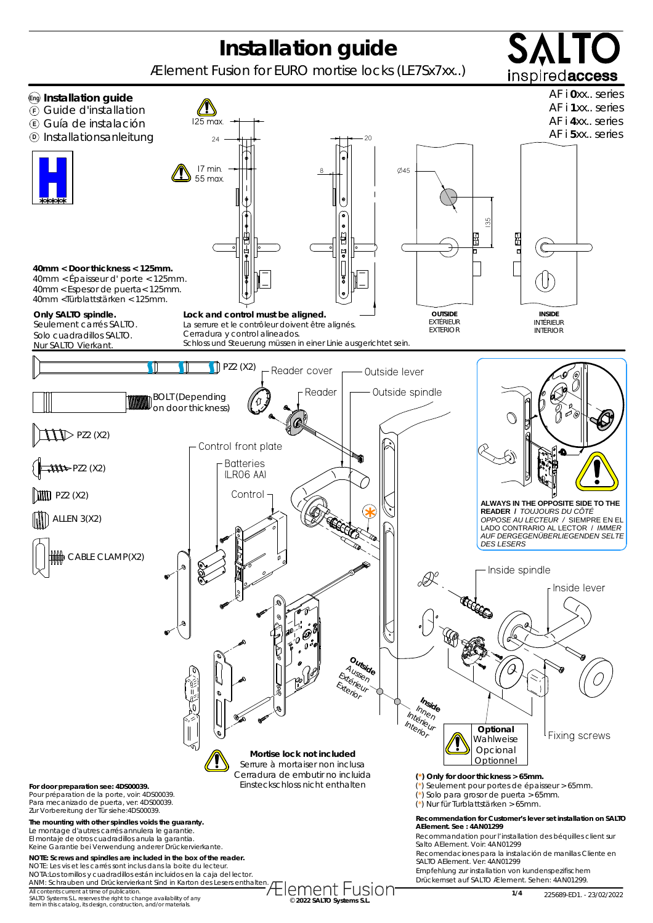## **Installation guide**

Ælement Fusion for EURO mortise locks (LE7Sx7xx..)



All contents current at time of publication.<br>SALTO Systems S.L. reserves the right to change availability of any **change at a state of any construction of t**<br>tiem in this catalog, its design, construction, and/or materials

**1/4** 225689-ED1. - 23/02/2022

SAL.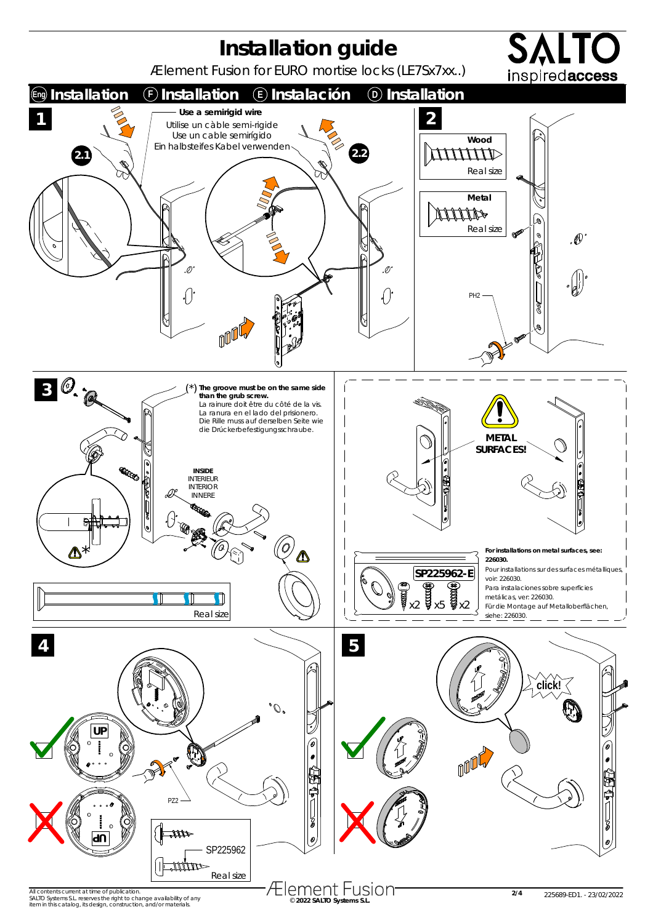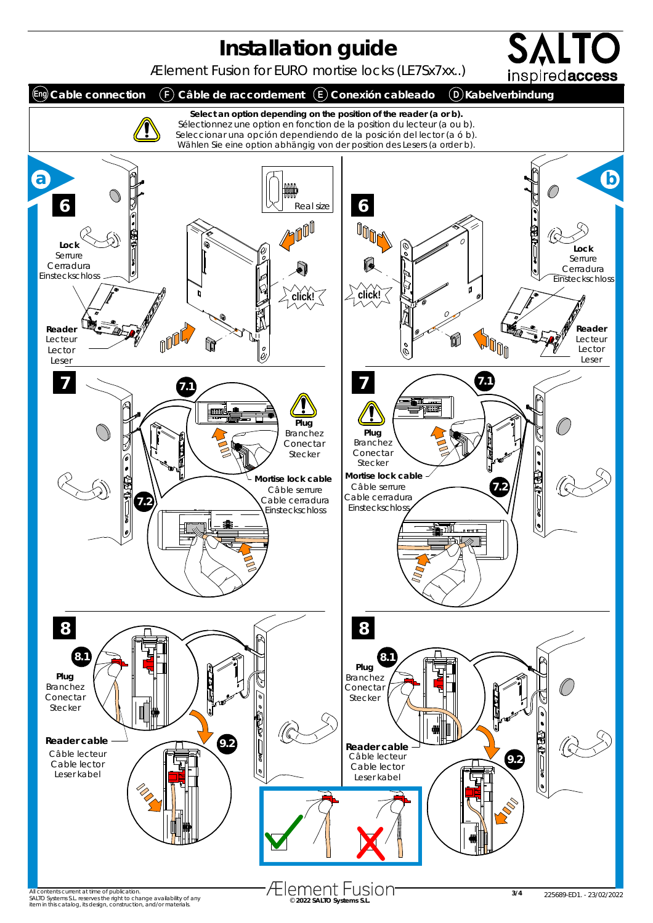

All contents current at time of publication.<br>SALTO Systems S.L. reserves the right to change availability of any **change at a state of any construction of t**<br>tiem in this catalog, its design, construction, and/or materials